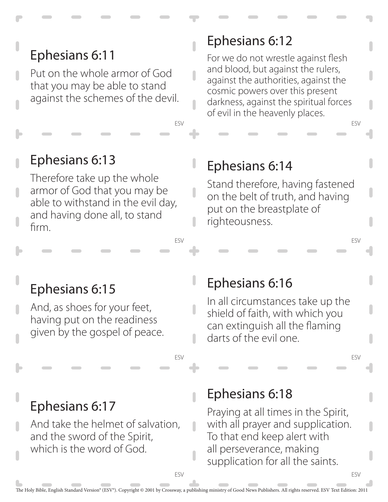Put on the whole armor of God that you may be able to stand against the schemes of the devil.

### Ephesians 6:13

Therefore take up the whole armor of God that you may be able to withstand in the evil day, and having done all, to stand firm.

### Ephesians 6:12

For we do not wrestle against flesh and blood, but against the rulers, against the authorities, against the cosmic powers over this present darkness, against the spiritual forces of evil in the heavenly places.

ESV

ESV

ESV

ESV

#### Ephesians 6:14

Stand therefore, having fastened on the belt of truth, and having put on the breastplate of righteousness.

### Ephesians 6:15

And, as shoes for your feet, having put on the readiness given by the gospel of peace.

#### Ephesians 6:16

In all circumstances take up the shield of faith, with which you can extinguish all the flaming darts of the evil one.

### Ephesians 6:17

And take the helmet of salvation, and the sword of the Spirit, which is the word of God.

#### Ephesians 6:18

Praying at all times in the Spirit, with all prayer and supplication. To that end keep alert with all perseverance, making supplication for all the saints.

ESV

ESV

ESV

ESV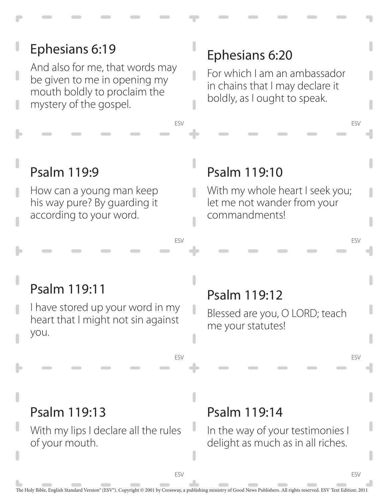#### ESV ESV ESV ESV ESV ESV ESV ESV Psalm 119:14 In the way of your testimonies I delight as much as in all riches. Psalm 119:13 With my lips I declare all the rules of your mouth. Psalm 119:12 Blessed are you, O LORD; teach me your statutes! Psalm 119:11 I have stored up your word in my heart that I might not sin against you. Psalm 119:10 With my whole heart I seek you; let me not wander from your commandments! Psalm 119:9 How can a young man keep his way pure? By guarding it according to your word. Ephesians 6:20 For which I am an ambassador in chains that I may declare it boldly, as I ought to speak. Ephesians 6:19 And also for me, that words may be given to me in opening my mouth boldly to proclaim the mystery of the gospel.

The Holy Bible, English Standard Version® (ESV®). Copyright © 2001 by Crossway, a publishing ministry of Good News Publishers. All rights reserved. ESV Text Edition: 2011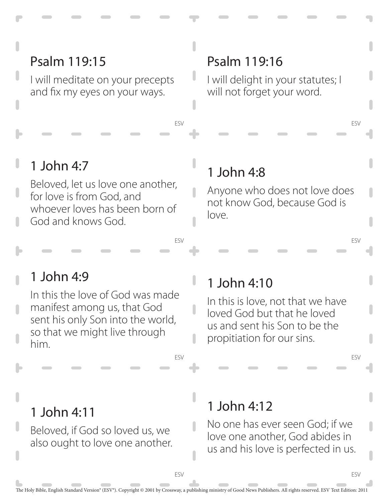### Psalm 119:15

I will meditate on your precepts and fix my eyes on your ways.

#### Psalm 119:16

I will delight in your statutes; I will not forget your word.

ESV

ESV

ESV

ESV

### 1 John 4:7

Beloved, let us love one another, for love is from God, and whoever loves has been born of God and knows God.

#### 1 John 4:8

ESV

ESV

ı

ı

ESV

Anyone who does not love does not know God, because God is love.

### 1 John 4:9

In this the love of God was made manifest among us, that God sent his only Son into the world, so that we might live through him.

### 1 John 4:10

In this is love, not that we have loved God but that he loved us and sent his Son to be the propitiation for our sins.

#### 1 John 4:11

Beloved, if God so loved us, we also ought to love one another.

# 1 John 4:12

No one has ever seen God; if we love one another, God abides in us and his love is perfected in us.

ESV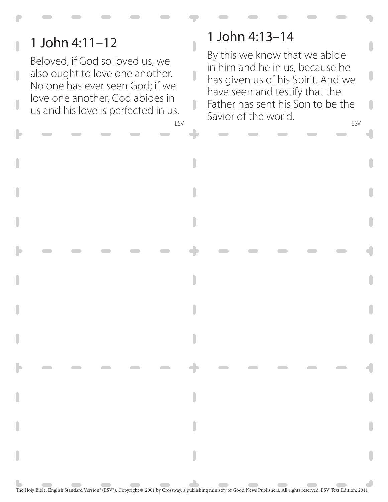## 1 John 4:11–12

Beloved, if God so loved us, we also ought to love one another. No one has ever seen God; if we love one another, God abides in us and his love is perfected in us.

#### 1 John 4:13–14

 $\overline{\phantom{a}}$ 

ESV ESV By this we know that we abide in him and he in us, because he has given us of his Spirit. And we have seen and testify that the Father has sent his Son to be the Savior of the world.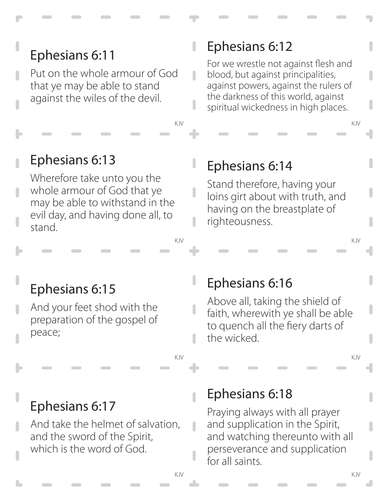Put on the whole armour of God that ye may be able to stand against the wiles of the devil.

### Ephesians 6:13

Wherefore take unto you the whole armour of God that ye may be able to withstand in the evil day, and having done all, to stand.

# Ephesians 6:12

П

For we wrestle not against flesh and blood, but against principalities, against powers, against the rulers of the darkness of this world, against spiritual wickedness in high places.

KJV KJV

### Ephesians 6:14

Stand therefore, having your loins girt about with truth, and having on the breastplate of righteousness.

KJV KJV

# Ephesians 6:15

And your feet shod with the preparation of the gospel of peace;

### Ephesians 6:16

Above all, taking the shield of faith, wherewith ye shall be able to quench all the fiery darts of the wicked.

KJV KJV

# Ephesians 6:17

And take the helmet of salvation, and the sword of the Spirit, which is the word of God.

### Ephesians 6:18

Praying always with all prayer and supplication in the Spirit, and watching thereunto with all perseverance and supplication for all saints.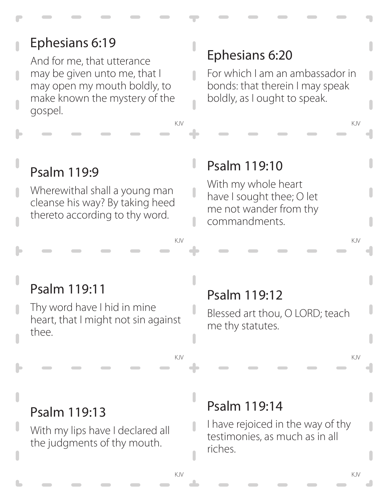And for me, that utterance may be given unto me, that I may open my mouth boldly, to make known the mystery of the gospel.

### Ephesians 6:20

For which I am an ambassador in bonds: that therein I may speak boldly, as I ought to speak.

KJV KJV

### Psalm 119:9

Wherewithal shall a young man cleanse his way? By taking heed thereto according to thy word.

### Psalm 119:10

With my whole heart have I sought thee; O let me not wander from thy commandments.

KJV KJV

### Psalm 119:11

Thy word have I hid in mine heart, that I might not sin against thee.

# Psalm 119:12

Blessed art thou, O LORD; teach me thy statutes.

KJV KJV

#### Psalm 119:13

With my lips have I declared all the judgments of thy mouth.

### Psalm 119:14

I have rejoiced in the way of thy testimonies, as much as in all riches.

П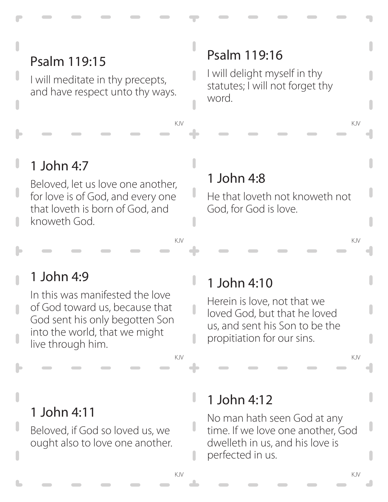# Psalm 119:15

I will meditate in thy precepts, and have respect unto thy ways.

# Psalm 119:16

I will delight myself in thy statutes; I will not forget thy word.

KJV KJV

# 1 John 4:7

Beloved, let us love one another, for love is of God, and every one that loveth is born of God, and knoweth God.

### 1 John 4:8

He that loveth not knoweth not God, for God is love.

KJV KJV

# 1 John 4:9

In this was manifested the love of God toward us, because that God sent his only begotten Son into the world, that we might live through him.

# 1 John 4:10

ı

Herein is love, not that we loved God, but that he loved us, and sent his Son to be the propitiation for our sins.

KJV KJV

### 1 John 4:11

Beloved, if God so loved us, we ought also to love one another.

# 1 John 4:12

No man hath seen God at any time. If we love one another, God dwelleth in us, and his love is perfected in us.

J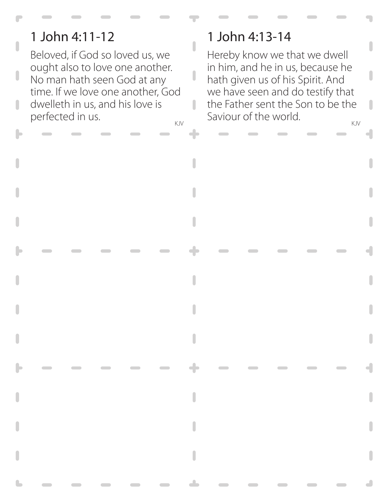# 1 John 4:11-12

П

Beloved, if God so loved us, we ought also to love one another. No man hath seen God at any time. If we love one another, God dwelleth in us, and his love is perfected in us.

### 1 John 4:13-14

 $\overline{\phantom{a}}$ 

I

KJV KJV Hereby know we that we dwell in him, and he in us, because he hath given us of his Spirit. And we have seen and do testify that the Father sent the Son to be the Saviour of the world.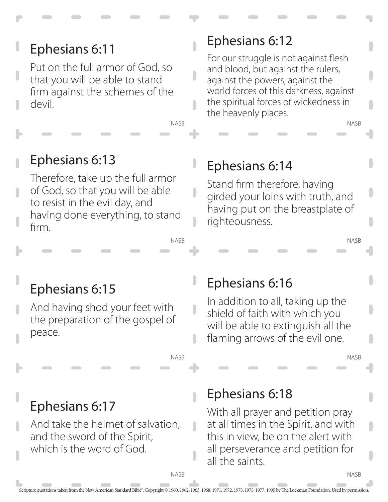Put on the full armor of God, so that you will be able to stand firm against the schemes of the devil.

# Ephesians 6:12

For our struggle is not against flesh and blood, but against the rulers, against the powers, against the world forces of this darkness, against the spiritual forces of wickedness in the heavenly places.

# Ephesians 6:13

Therefore, take up the full armor of God, so that you will be able to resist in the evil day, and having done everything, to stand firm.

### Ephesians 6:14

Stand firm therefore, having girded your loins with truth, and having put on the breastplate of righteousness.

# Ephesians 6:15

And having shod your feet with the preparation of the gospel of peace.

# Ephesians 6:16

In addition to all, taking up the shield of faith with which you will be able to extinguish all the flaming arrows of the evil one.

NASB

NASB

NASB

NASB

# Ephesians 6:17

And take the helmet of salvation, and the sword of the Spirit, which is the word of God.

### Ephesians 6:18

With all prayer and petition pray at all times in the Spirit, and with this in view, be on the alert with all perseverance and petition for all the saints.

**NASB** 

NASB

NASB

NASB

 $\overline{\phantom{a}}$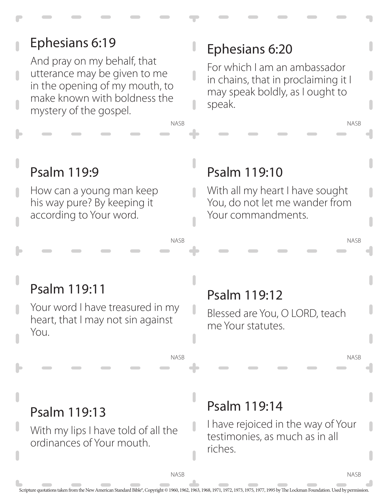#### Scripture quotations taken from the New American Standard Bible®, Copyright © 1960, 1962, 1963, 1968, 1971, 1972, 1973, 1975, 1977, 1995 by The Lockman Foundation. Used by permission. NASB NASB NASB **NASB** NASB NASB NASB NASB Psalm 119:14 I have rejoiced in the way of Your testimonies, as much as in all riches. Psalm 119:13 With my lips I have told of all the ordinances of Your mouth. Psalm 119:12 Blessed are You, O LORD, teach me Your statutes. Psalm 119:11 Your word I have treasured in my heart, that I may not sin against You. Psalm 119:10 With all my heart I have sought You, do not let me wander from Your commandments. Psalm 119:9 How can a young man keep his way pure? By keeping it according to Your word. Ephesians 6:20 For which I am an ambassador in chains, that in proclaiming it I may speak boldly, as I ought to speak. Ephesians 6:19 And pray on my behalf, that utterance may be given to me in the opening of my mouth, to make known with boldness the mystery of the gospel.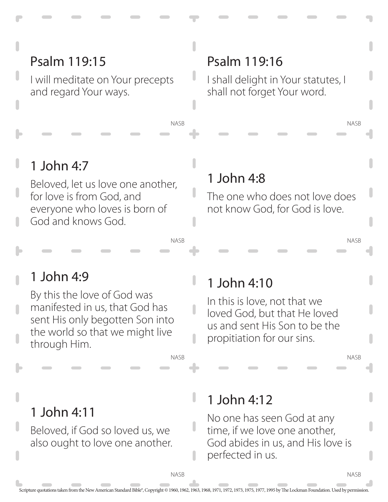# Psalm 119:15

I will meditate on Your precepts and regard Your ways.

### Psalm 119:16

I shall delight in Your statutes, I shall not forget Your word.

### 1 John 4:7

Beloved, let us love one another, for love is from God, and everyone who loves is born of God and knows God.

### 1 John 4:8

NASB

NASB

NASB

П

The one who does not love does not know God, for God is love.

### 1 John 4:9

By this the love of God was manifested in us, that God has sent His only begotten Son into the world so that we might live through Him.

# 1 John 4:10

In this is love, not that we loved God, but that He loved us and sent His Son to be the propitiation for our sins.

NASB

NASB

NASB

### 1 John 4:11

Beloved, if God so loved us, we also ought to love one another.

# 1 John 4:12

No one has seen God at any time, if we love one another, God abides in us, and His love is perfected in us.

**NASB** 

U